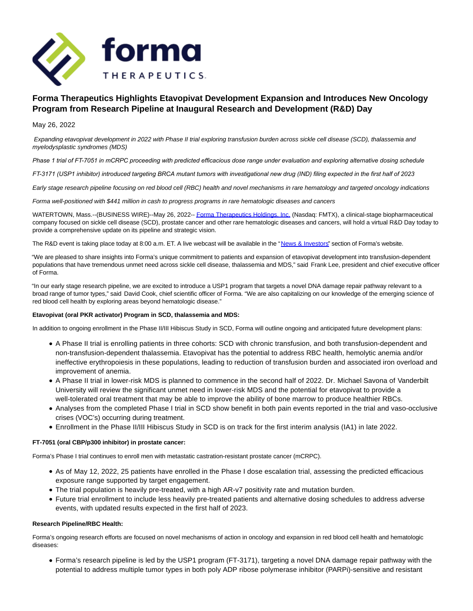

# **Forma Therapeutics Highlights Etavopivat Development Expansion and Introduces New Oncology Program from Research Pipeline at Inaugural Research and Development (R&D) Day**

May 26, 2022

Expanding etavopivat development in 2022 with Phase II trial exploring transfusion burden across sickle cell disease (SCD), thalassemia and myelodysplastic syndromes (MDS)

*Phase 1 trial of FT-7051 in mCRPC proceeding with predicted efficacious dose range under evaluation and exploring alternative dosing schedule* 

*FT-3171 (USP1 inhibitor) introduced targeting BRCA mutant tumors with investigational new drug (IND) filing expected in the first half of 2023* 

Early stage research pipeline focusing on red blood cell (RBC) health and novel mechanisms in rare hematology and targeted oncology indications

Forma well-positioned with \$441 million in cash to progress programs in rare hematologic diseases and cancers

WATERTOWN, Mass.--(BUSINESS WIRE)--May 26, 2022-[- Forma Therapeutics Holdings, Inc. \(](https://cts.businesswire.com/ct/CT?id=smartlink&url=http%3A%2F%2Fwww.formatherapeutics.com&esheet=52731491&newsitemid=20220526005218&lan=en-US&anchor=Forma+Therapeutics+Holdings%2C+Inc.&index=1&md5=e8896732ef91da89c9e117956a235e0e)Nasdaq: FMTX), a clinical-stage biopharmaceutical company focused on sickle cell disease (SCD), prostate cancer and other rare hematologic diseases and cancers, will hold a virtual R&D Day today to provide a comprehensive update on its pipeline and strategic vision.

The R&D event is taking place today at 8:00 a.m. ET. A live webcast will be available in the ["News & Investors"](https://cts.businesswire.com/ct/CT?id=smartlink&url=https%3A%2F%2Fir.formatherapeutics.com%2Finvestor-relations&esheet=52731491&newsitemid=20220526005218&lan=en-US&anchor=News+%26amp%3B+Investors&index=2&md5=10e9ffd77d37abea5e6aad89ed154e4d) section of Forma's website.

"We are pleased to share insights into Forma's unique commitment to patients and expansion of etavopivat development into transfusion-dependent populations that have tremendous unmet need across sickle cell disease, thalassemia and MDS," said Frank Lee, president and chief executive officer of Forma.

"In our early stage research pipeline, we are excited to introduce a USP1 program that targets a novel DNA damage repair pathway relevant to a broad range of tumor types," said David Cook, chief scientific officer of Forma. "We are also capitalizing on our knowledge of the emerging science of red blood cell health by exploring areas beyond hematologic disease."

### **Etavopivat (oral PKR activator) Program in SCD, thalassemia and MDS:**

In addition to ongoing enrollment in the Phase II/III Hibiscus Study in SCD, Forma will outline ongoing and anticipated future development plans:

- A Phase II trial is enrolling patients in three cohorts: SCD with chronic transfusion, and both transfusion-dependent and non-transfusion-dependent thalassemia. Etavopivat has the potential to address RBC health, hemolytic anemia and/or ineffective erythropoiesis in these populations, leading to reduction of transfusion burden and associated iron overload and improvement of anemia.
- A Phase II trial in lower-risk MDS is planned to commence in the second half of 2022. Dr. Michael Savona of Vanderbilt University will review the significant unmet need in lower-risk MDS and the potential for etavopivat to provide a well-tolerated oral treatment that may be able to improve the ability of bone marrow to produce healthier RBCs.
- Analyses from the completed Phase I trial in SCD show benefit in both pain events reported in the trial and vaso-occlusive crises (VOC's) occurring during treatment.
- Enrollment in the Phase II/III Hibiscus Study in SCD is on track for the first interim analysis (IA1) in late 2022.

### **FT-7051 (oral CBP/p300 inhibitor) in prostate cancer:**

Forma's Phase I trial continues to enroll men with metastatic castration-resistant prostate cancer (mCRPC).

- As of May 12, 2022, 25 patients have enrolled in the Phase I dose escalation trial, assessing the predicted efficacious exposure range supported by target engagement.
- The trial population is heavily pre-treated, with a high AR-v7 positivity rate and mutation burden.
- Future trial enrollment to include less heavily pre-treated patients and alternative dosing schedules to address adverse events, with updated results expected in the first half of 2023.

### **Research Pipeline/RBC Health:**

Forma's ongoing research efforts are focused on novel mechanisms of action in oncology and expansion in red blood cell health and hematologic diseases:

Forma's research pipeline is led by the USP1 program (FT-3171), targeting a novel DNA damage repair pathway with the potential to address multiple tumor types in both poly ADP ribose polymerase inhibitor (PARPi)-sensitive and resistant